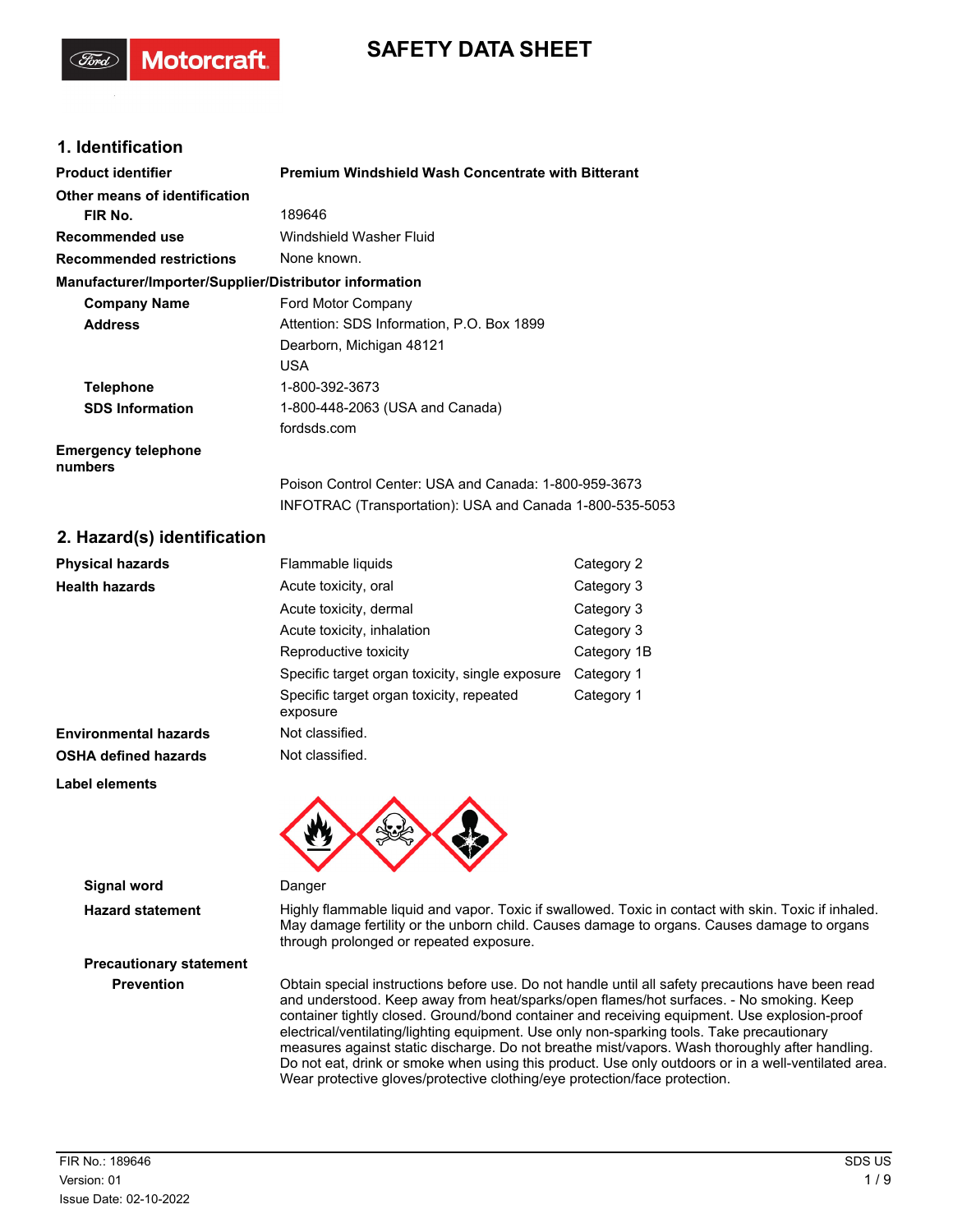# **SAFETY DATA SHEET**

## **1. Identification**

**Motorcraft** 

| <b>Product identifier</b>                              | <b>Premium Windshield Wash Concentrate with Bitterant</b> |
|--------------------------------------------------------|-----------------------------------------------------------|
| Other means of identification                          |                                                           |
| FIR No.                                                | 189646                                                    |
| Recommended use                                        | Windshield Washer Fluid                                   |
| <b>Recommended restrictions</b>                        | None known.                                               |
| Manufacturer/Importer/Supplier/Distributor information |                                                           |
| <b>Company Name</b>                                    | Ford Motor Company                                        |
| <b>Address</b>                                         | Attention: SDS Information, P.O. Box 1899                 |
|                                                        | Dearborn, Michigan 48121                                  |
|                                                        | <b>USA</b>                                                |
| <b>Telephone</b>                                       | 1-800-392-3673                                            |
| <b>SDS Information</b>                                 | 1-800-448-2063 (USA and Canada)                           |
|                                                        | fordsds.com                                               |
| <b>Emergency telephone</b><br>numbers                  |                                                           |
|                                                        | Poison Control Center: USA and Canada: 1-800-959-3673     |
|                                                        | INFOTRAC (Transportation): USA and Canada 1-800-535-5053  |

## **2. Hazard(s) identification**

| <b>Physical hazards</b>      | Flammable liquids                                    | Category 2  |
|------------------------------|------------------------------------------------------|-------------|
| <b>Health hazards</b>        | Acute toxicity, oral                                 | Category 3  |
|                              | Acute toxicity, dermal                               | Category 3  |
|                              | Acute toxicity, inhalation                           | Category 3  |
|                              | Reproductive toxicity                                | Category 1B |
|                              | Specific target organ toxicity, single exposure      | Category 1  |
|                              | Specific target organ toxicity, repeated<br>exposure | Category 1  |
| <b>Environmental hazards</b> | Not classified.                                      |             |
| <b>OSHA defined hazards</b>  | Not classified.                                      |             |
| <b>Label elements</b>        |                                                      |             |



**Signal word** Danger

Hazard statement **Highly flammable liquid and vapor. Toxic if swallowed. Toxic in contact with skin. Toxic if inhaled.** May damage fertility or the unborn child. Causes damage to organs. Causes damage to organs through prolonged or repeated exposure.

**Prevention** Obtain special instructions before use. Do not handle until all safety precautions have been read and understood. Keep away from heat/sparks/open flames/hot surfaces. - No smoking. Keep container tightly closed. Ground/bond container and receiving equipment. Use explosion-proof electrical/ventilating/lighting equipment. Use only non-sparking tools. Take precautionary measures against static discharge. Do not breathe mist/vapors. Wash thoroughly after handling. Do not eat, drink or smoke when using this product. Use only outdoors or in a well-ventilated area. Wear protective gloves/protective clothing/eye protection/face protection.

**Precautionary statement**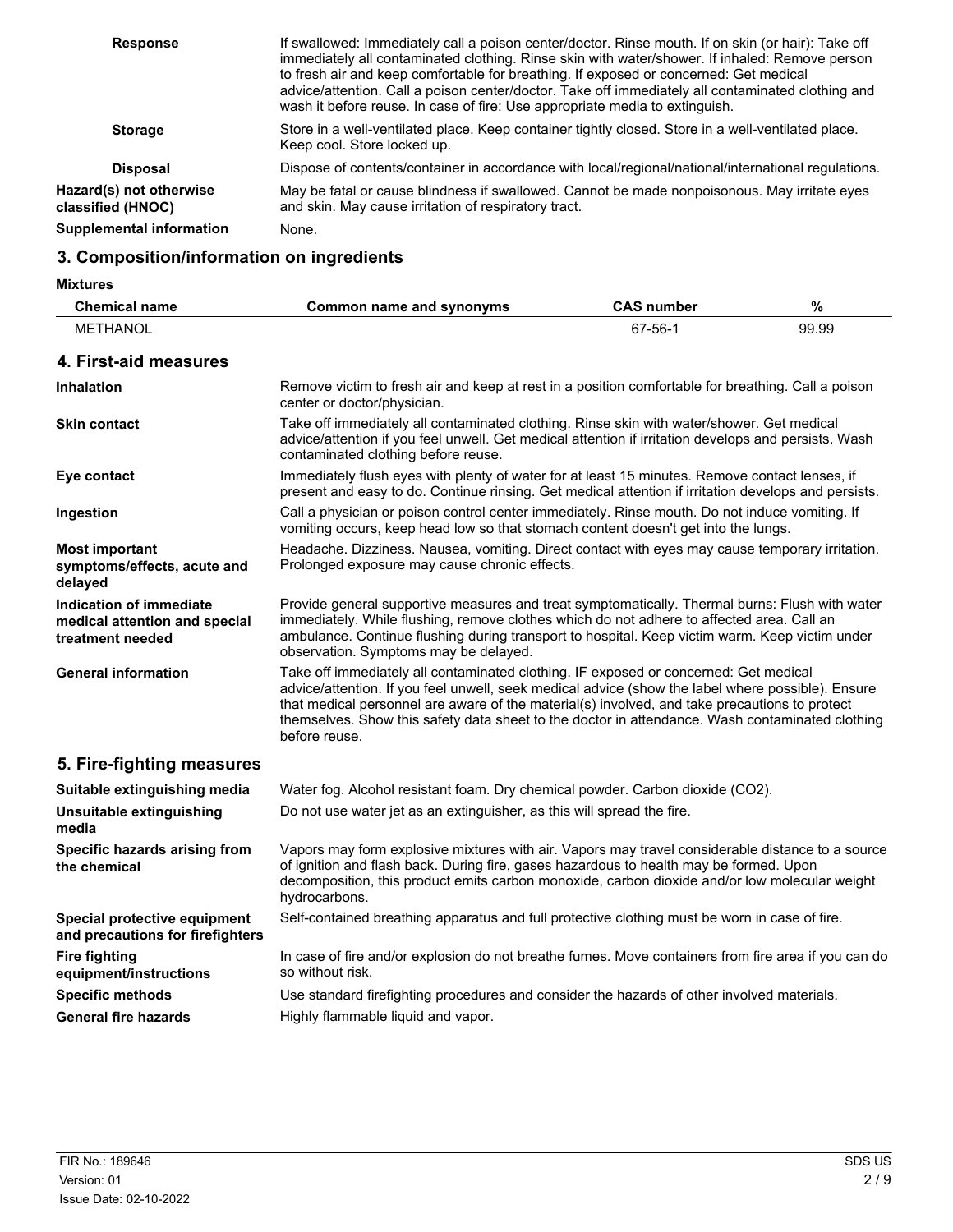| <b>Response</b>                              | If swallowed: Immediately call a poison center/doctor. Rinse mouth. If on skin (or hair): Take off<br>immediately all contaminated clothing. Rinse skin with water/shower. If inhaled: Remove person<br>to fresh air and keep comfortable for breathing. If exposed or concerned: Get medical<br>advice/attention. Call a poison center/doctor. Take off immediately all contaminated clothing and<br>wash it before reuse. In case of fire: Use appropriate media to extinguish. |
|----------------------------------------------|-----------------------------------------------------------------------------------------------------------------------------------------------------------------------------------------------------------------------------------------------------------------------------------------------------------------------------------------------------------------------------------------------------------------------------------------------------------------------------------|
| <b>Storage</b>                               | Store in a well-ventilated place. Keep container tightly closed. Store in a well-ventilated place.<br>Keep cool. Store locked up.                                                                                                                                                                                                                                                                                                                                                 |
| <b>Disposal</b>                              | Dispose of contents/container in accordance with local/regional/national/international regulations.                                                                                                                                                                                                                                                                                                                                                                               |
| Hazard(s) not otherwise<br>classified (HNOC) | May be fatal or cause blindness if swallowed. Cannot be made nonpoisonous. May irritate eyes<br>and skin. May cause irritation of respiratory tract.                                                                                                                                                                                                                                                                                                                              |
| <b>Supplemental information</b>              | None.                                                                                                                                                                                                                                                                                                                                                                                                                                                                             |

# **3. Composition/information on ingredients**

**Mixtures**

| <b>Chemical name</b>                                                         | <b>Common name and synonyms</b>                                                                                                                                                                                                                                                                                                                                                                                | <b>CAS number</b> | $\%$  |
|------------------------------------------------------------------------------|----------------------------------------------------------------------------------------------------------------------------------------------------------------------------------------------------------------------------------------------------------------------------------------------------------------------------------------------------------------------------------------------------------------|-------------------|-------|
| <b>METHANOL</b>                                                              |                                                                                                                                                                                                                                                                                                                                                                                                                | 67-56-1           | 99.99 |
| 4. First-aid measures                                                        |                                                                                                                                                                                                                                                                                                                                                                                                                |                   |       |
| <b>Inhalation</b>                                                            | Remove victim to fresh air and keep at rest in a position comfortable for breathing. Call a poison<br>center or doctor/physician.                                                                                                                                                                                                                                                                              |                   |       |
| <b>Skin contact</b>                                                          | Take off immediately all contaminated clothing. Rinse skin with water/shower. Get medical<br>advice/attention if you feel unwell. Get medical attention if irritation develops and persists. Wash<br>contaminated clothing before reuse.                                                                                                                                                                       |                   |       |
| Eye contact                                                                  | Immediately flush eyes with plenty of water for at least 15 minutes. Remove contact lenses, if<br>present and easy to do. Continue rinsing. Get medical attention if irritation develops and persists.                                                                                                                                                                                                         |                   |       |
| Ingestion                                                                    | Call a physician or poison control center immediately. Rinse mouth. Do not induce vomiting. If<br>vomiting occurs, keep head low so that stomach content doesn't get into the lungs.                                                                                                                                                                                                                           |                   |       |
| <b>Most important</b><br>symptoms/effects, acute and<br>delayed              | Headache. Dizziness. Nausea, vomiting. Direct contact with eyes may cause temporary irritation.<br>Prolonged exposure may cause chronic effects.                                                                                                                                                                                                                                                               |                   |       |
| Indication of immediate<br>medical attention and special<br>treatment needed | Provide general supportive measures and treat symptomatically. Thermal burns: Flush with water<br>immediately. While flushing, remove clothes which do not adhere to affected area. Call an<br>ambulance. Continue flushing during transport to hospital. Keep victim warm. Keep victim under<br>observation. Symptoms may be delayed.                                                                         |                   |       |
| <b>General information</b>                                                   | Take off immediately all contaminated clothing. IF exposed or concerned: Get medical<br>advice/attention. If you feel unwell, seek medical advice (show the label where possible). Ensure<br>that medical personnel are aware of the material(s) involved, and take precautions to protect<br>themselves. Show this safety data sheet to the doctor in attendance. Wash contaminated clothing<br>before reuse. |                   |       |
| 5. Fire-fighting measures                                                    |                                                                                                                                                                                                                                                                                                                                                                                                                |                   |       |
| Suitable extinguishing media                                                 | Water fog. Alcohol resistant foam. Dry chemical powder. Carbon dioxide (CO2).                                                                                                                                                                                                                                                                                                                                  |                   |       |
| Unsuitable extinguishing<br>media                                            | Do not use water jet as an extinguisher, as this will spread the fire.                                                                                                                                                                                                                                                                                                                                         |                   |       |
| Specific hazards arising from<br>the chemical                                | Vapors may form explosive mixtures with air. Vapors may travel considerable distance to a source<br>of ignition and flash back. During fire, gases hazardous to health may be formed. Upon<br>decomposition, this product emits carbon monoxide, carbon dioxide and/or low molecular weight<br>hydrocarbons.                                                                                                   |                   |       |
| Special protective equipment<br>and precautions for firefighters             | Self-contained breathing apparatus and full protective clothing must be worn in case of fire.                                                                                                                                                                                                                                                                                                                  |                   |       |
| <b>Fire fighting</b><br>equipment/instructions                               | In case of fire and/or explosion do not breathe fumes. Move containers from fire area if you can do<br>so without risk.                                                                                                                                                                                                                                                                                        |                   |       |
| <b>Specific methods</b>                                                      | Use standard firefighting procedures and consider the hazards of other involved materials.                                                                                                                                                                                                                                                                                                                     |                   |       |
| <b>General fire hazards</b>                                                  | Highly flammable liquid and vapor.                                                                                                                                                                                                                                                                                                                                                                             |                   |       |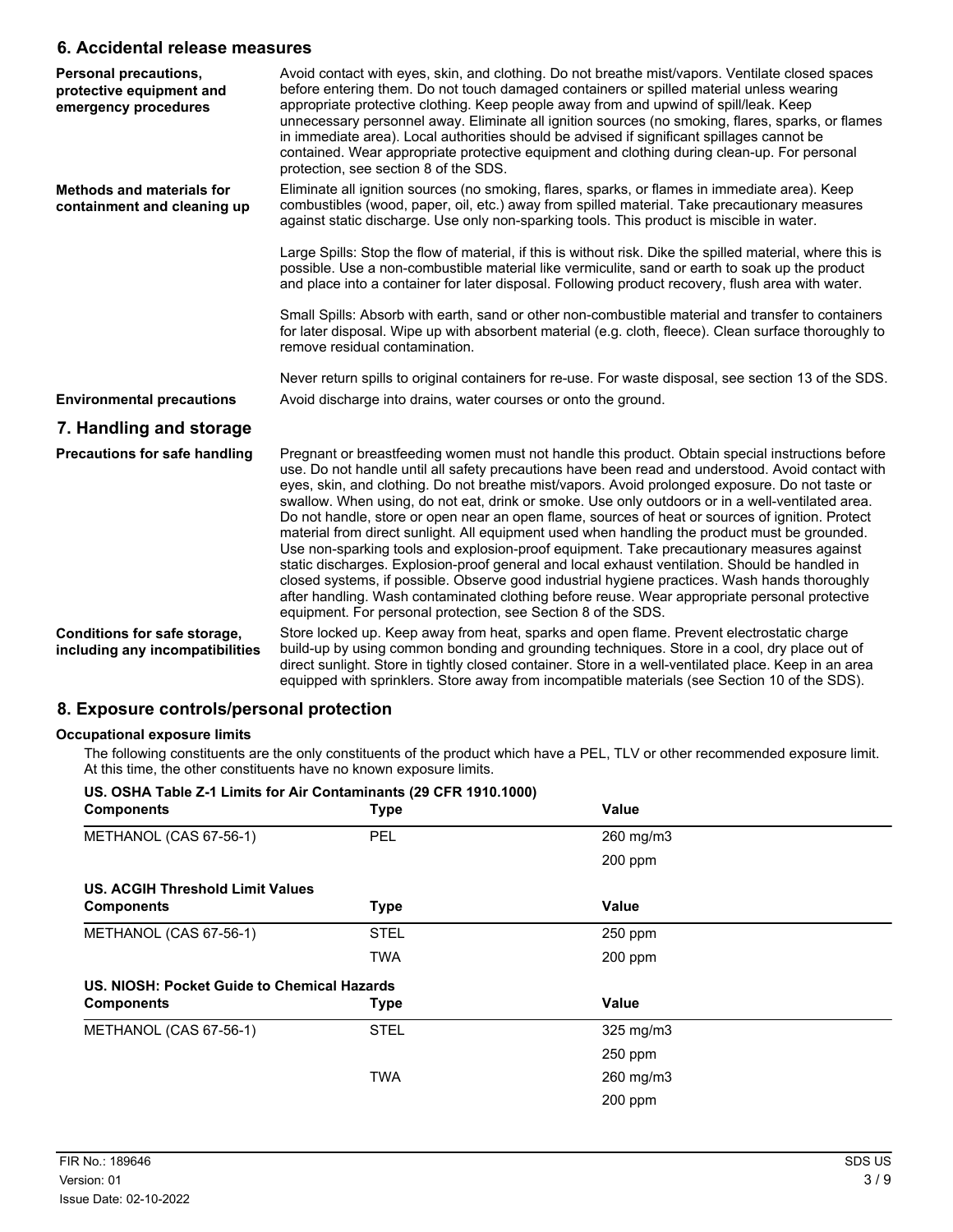### **6. Accidental release measures**

| Personal precautions,<br>protective equipment and<br>emergency procedures | Avoid contact with eyes, skin, and clothing. Do not breathe mist/vapors. Ventilate closed spaces<br>before entering them. Do not touch damaged containers or spilled material unless wearing<br>appropriate protective clothing. Keep people away from and upwind of spill/leak. Keep<br>unnecessary personnel away. Eliminate all ignition sources (no smoking, flares, sparks, or flames<br>in immediate area). Local authorities should be advised if significant spillages cannot be<br>contained. Wear appropriate protective equipment and clothing during clean-up. For personal<br>protection, see section 8 of the SDS.                                                                                                                                                                                                                                                                                                                                                                                                                                                    |
|---------------------------------------------------------------------------|-------------------------------------------------------------------------------------------------------------------------------------------------------------------------------------------------------------------------------------------------------------------------------------------------------------------------------------------------------------------------------------------------------------------------------------------------------------------------------------------------------------------------------------------------------------------------------------------------------------------------------------------------------------------------------------------------------------------------------------------------------------------------------------------------------------------------------------------------------------------------------------------------------------------------------------------------------------------------------------------------------------------------------------------------------------------------------------|
| <b>Methods and materials for</b><br>containment and cleaning up           | Eliminate all ignition sources (no smoking, flares, sparks, or flames in immediate area). Keep<br>combustibles (wood, paper, oil, etc.) away from spilled material. Take precautionary measures<br>against static discharge. Use only non-sparking tools. This product is miscible in water.                                                                                                                                                                                                                                                                                                                                                                                                                                                                                                                                                                                                                                                                                                                                                                                        |
|                                                                           | Large Spills: Stop the flow of material, if this is without risk. Dike the spilled material, where this is<br>possible. Use a non-combustible material like vermiculite, sand or earth to soak up the product<br>and place into a container for later disposal. Following product recovery, flush area with water.                                                                                                                                                                                                                                                                                                                                                                                                                                                                                                                                                                                                                                                                                                                                                                  |
|                                                                           | Small Spills: Absorb with earth, sand or other non-combustible material and transfer to containers<br>for later disposal. Wipe up with absorbent material (e.g. cloth, fleece). Clean surface thoroughly to<br>remove residual contamination.                                                                                                                                                                                                                                                                                                                                                                                                                                                                                                                                                                                                                                                                                                                                                                                                                                       |
|                                                                           | Never return spills to original containers for re-use. For waste disposal, see section 13 of the SDS.                                                                                                                                                                                                                                                                                                                                                                                                                                                                                                                                                                                                                                                                                                                                                                                                                                                                                                                                                                               |
| <b>Environmental precautions</b>                                          | Avoid discharge into drains, water courses or onto the ground.                                                                                                                                                                                                                                                                                                                                                                                                                                                                                                                                                                                                                                                                                                                                                                                                                                                                                                                                                                                                                      |
| 7. Handling and storage                                                   |                                                                                                                                                                                                                                                                                                                                                                                                                                                                                                                                                                                                                                                                                                                                                                                                                                                                                                                                                                                                                                                                                     |
| <b>Precautions for safe handling</b>                                      | Pregnant or breastfeeding women must not handle this product. Obtain special instructions before<br>use. Do not handle until all safety precautions have been read and understood. Avoid contact with<br>eyes, skin, and clothing. Do not breathe mist/vapors. Avoid prolonged exposure. Do not taste or<br>swallow. When using, do not eat, drink or smoke. Use only outdoors or in a well-ventilated area.<br>Do not handle, store or open near an open flame, sources of heat or sources of ignition. Protect<br>material from direct sunlight. All equipment used when handling the product must be grounded.<br>Use non-sparking tools and explosion-proof equipment. Take precautionary measures against<br>static discharges. Explosion-proof general and local exhaust ventilation. Should be handled in<br>closed systems, if possible. Observe good industrial hygiene practices. Wash hands thoroughly<br>after handling. Wash contaminated clothing before reuse. Wear appropriate personal protective<br>equipment. For personal protection, see Section 8 of the SDS. |
| Conditions for safe storage,<br>including any incompatibilities           | Store locked up. Keep away from heat, sparks and open flame. Prevent electrostatic charge<br>build-up by using common bonding and grounding techniques. Store in a cool, dry place out of<br>direct sunlight. Store in tightly closed container. Store in a well-ventilated place. Keep in an area<br>equipped with sprinklers. Store away from incompatible materials (see Section 10 of the SDS).                                                                                                                                                                                                                                                                                                                                                                                                                                                                                                                                                                                                                                                                                 |

### **8. Exposure controls/personal protection**

### **Occupational exposure limits**

The following constituents are the only constituents of the product which have a PEL, TLV or other recommended exposure limit. At this time, the other constituents have no known exposure limits.

| US. OSHA Table Z-1 Limits for Air Contaminants (29 CFR 1910.1000)<br><b>Components</b> | <b>Type</b> | Value          |  |
|----------------------------------------------------------------------------------------|-------------|----------------|--|
| METHANOL (CAS 67-56-1)                                                                 | <b>PEL</b>  | 260 mg/m3      |  |
|                                                                                        |             | $200$ ppm      |  |
| US. ACGIH Threshold Limit Values                                                       |             |                |  |
| <b>Components</b>                                                                      | <b>Type</b> | Value          |  |
| METHANOL (CAS 67-56-1)                                                                 | <b>STEL</b> | 250 ppm        |  |
|                                                                                        | TWA         | 200 ppm        |  |
| US. NIOSH: Pocket Guide to Chemical Hazards                                            |             |                |  |
| <b>Components</b>                                                                      | <b>Type</b> | Value          |  |
| METHANOL (CAS 67-56-1)                                                                 | <b>STEL</b> | $325$ mg/m $3$ |  |
|                                                                                        |             | 250 ppm        |  |
|                                                                                        | <b>TWA</b>  | 260 mg/m3      |  |
|                                                                                        |             | 200 ppm        |  |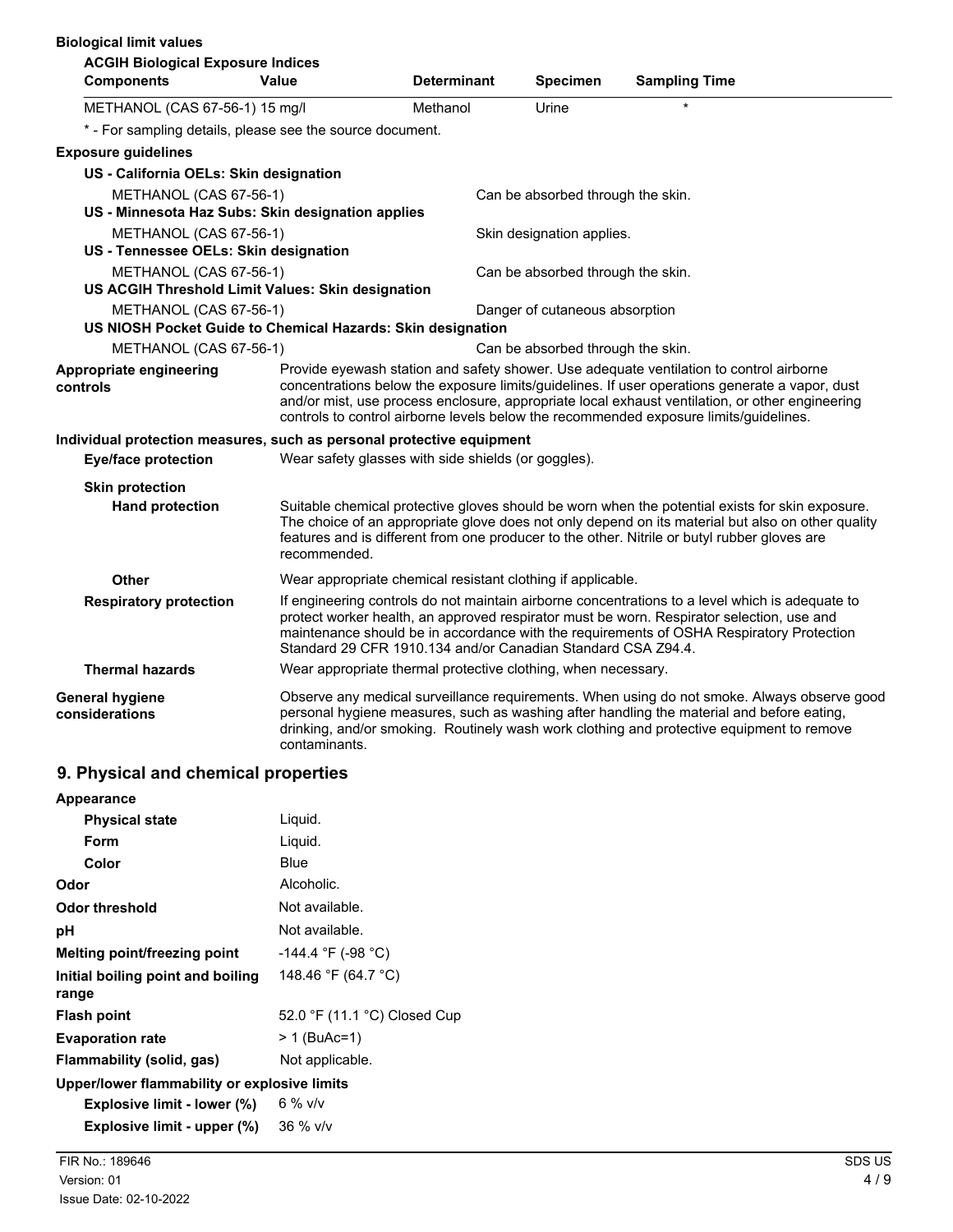| <b>Biological limit values</b>                                              |                                                               |                    |                                   |                                                                                                                                                                                                                                                                                                                                                                                       |
|-----------------------------------------------------------------------------|---------------------------------------------------------------|--------------------|-----------------------------------|---------------------------------------------------------------------------------------------------------------------------------------------------------------------------------------------------------------------------------------------------------------------------------------------------------------------------------------------------------------------------------------|
| <b>ACGIH Biological Exposure Indices</b>                                    |                                                               |                    |                                   |                                                                                                                                                                                                                                                                                                                                                                                       |
| <b>Components</b>                                                           | Value                                                         | <b>Determinant</b> | <b>Specimen</b>                   | <b>Sampling Time</b>                                                                                                                                                                                                                                                                                                                                                                  |
| METHANOL (CAS 67-56-1) 15 mg/l                                              |                                                               | Methanol           | Urine                             |                                                                                                                                                                                                                                                                                                                                                                                       |
| * - For sampling details, please see the source document.                   |                                                               |                    |                                   |                                                                                                                                                                                                                                                                                                                                                                                       |
| <b>Exposure guidelines</b>                                                  |                                                               |                    |                                   |                                                                                                                                                                                                                                                                                                                                                                                       |
| US - California OELs: Skin designation                                      |                                                               |                    |                                   |                                                                                                                                                                                                                                                                                                                                                                                       |
| METHANOL (CAS 67-56-1)<br>US - Minnesota Haz Subs: Skin designation applies |                                                               |                    | Can be absorbed through the skin. |                                                                                                                                                                                                                                                                                                                                                                                       |
| METHANOL (CAS 67-56-1)<br>US - Tennessee OELs: Skin designation             |                                                               |                    | Skin designation applies.         |                                                                                                                                                                                                                                                                                                                                                                                       |
| METHANOL (CAS 67-56-1)<br>US ACGIH Threshold Limit Values: Skin designation |                                                               |                    | Can be absorbed through the skin. |                                                                                                                                                                                                                                                                                                                                                                                       |
| METHANOL (CAS 67-56-1)                                                      |                                                               |                    | Danger of cutaneous absorption    |                                                                                                                                                                                                                                                                                                                                                                                       |
| US NIOSH Pocket Guide to Chemical Hazards: Skin designation                 |                                                               |                    |                                   |                                                                                                                                                                                                                                                                                                                                                                                       |
| METHANOL (CAS 67-56-1)                                                      |                                                               |                    | Can be absorbed through the skin. |                                                                                                                                                                                                                                                                                                                                                                                       |
| Appropriate engineering<br>controls                                         |                                                               |                    |                                   | Provide eyewash station and safety shower. Use adequate ventilation to control airborne<br>concentrations below the exposure limits/guidelines. If user operations generate a vapor, dust<br>and/or mist, use process enclosure, appropriate local exhaust ventilation, or other engineering<br>controls to control airborne levels below the recommended exposure limits/guidelines. |
| Individual protection measures, such as personal protective equipment       |                                                               |                    |                                   |                                                                                                                                                                                                                                                                                                                                                                                       |
| <b>Eye/face protection</b>                                                  | Wear safety glasses with side shields (or goggles).           |                    |                                   |                                                                                                                                                                                                                                                                                                                                                                                       |
| <b>Skin protection</b>                                                      |                                                               |                    |                                   |                                                                                                                                                                                                                                                                                                                                                                                       |
| <b>Hand protection</b>                                                      | recommended.                                                  |                    |                                   | Suitable chemical protective gloves should be worn when the potential exists for skin exposure.<br>The choice of an appropriate glove does not only depend on its material but also on other quality<br>features and is different from one producer to the other. Nitrile or butyl rubber gloves are                                                                                  |
| Other                                                                       | Wear appropriate chemical resistant clothing if applicable.   |                    |                                   |                                                                                                                                                                                                                                                                                                                                                                                       |
| <b>Respiratory protection</b>                                               | Standard 29 CFR 1910.134 and/or Canadian Standard CSA Z94.4.  |                    |                                   | If engineering controls do not maintain airborne concentrations to a level which is adequate to<br>protect worker health, an approved respirator must be worn. Respirator selection, use and<br>maintenance should be in accordance with the requirements of OSHA Respiratory Protection                                                                                              |
| <b>Thermal hazards</b>                                                      | Wear appropriate thermal protective clothing, when necessary. |                    |                                   |                                                                                                                                                                                                                                                                                                                                                                                       |
| <b>General hygiene</b><br>considerations                                    | contaminants.                                                 |                    |                                   | Observe any medical surveillance requirements. When using do not smoke. Always observe good<br>personal hygiene measures, such as washing after handling the material and before eating,<br>drinking, and/or smoking. Routinely wash work clothing and protective equipment to remove                                                                                                 |

# **9. Physical and chemical properties**

| <b>Appearance</b>                            |                              |
|----------------------------------------------|------------------------------|
| <b>Physical state</b>                        | Liquid.                      |
| Form                                         | Liquid.                      |
| Color                                        | Blue                         |
| Odor                                         | Alcoholic.                   |
| Odor threshold                               | Not available.               |
| рH                                           | Not available.               |
| Melting point/freezing point                 | -144.4 °F (-98 °C)           |
| Initial boiling point and boiling<br>range   | 148.46 °F (64.7 °C)          |
| <b>Flash point</b>                           | 52.0 °F (11.1 °C) Closed Cup |
| <b>Evaporation rate</b>                      | > 1 (BuAc=1)                 |
| Flammability (solid, gas)                    | Not applicable.              |
| Upper/lower flammability or explosive limits |                              |
| Explosive limit - lower (%)                  | $6\%$ v/v                    |
| Explosive limit - upper (%)                  | $36\%$ v/v                   |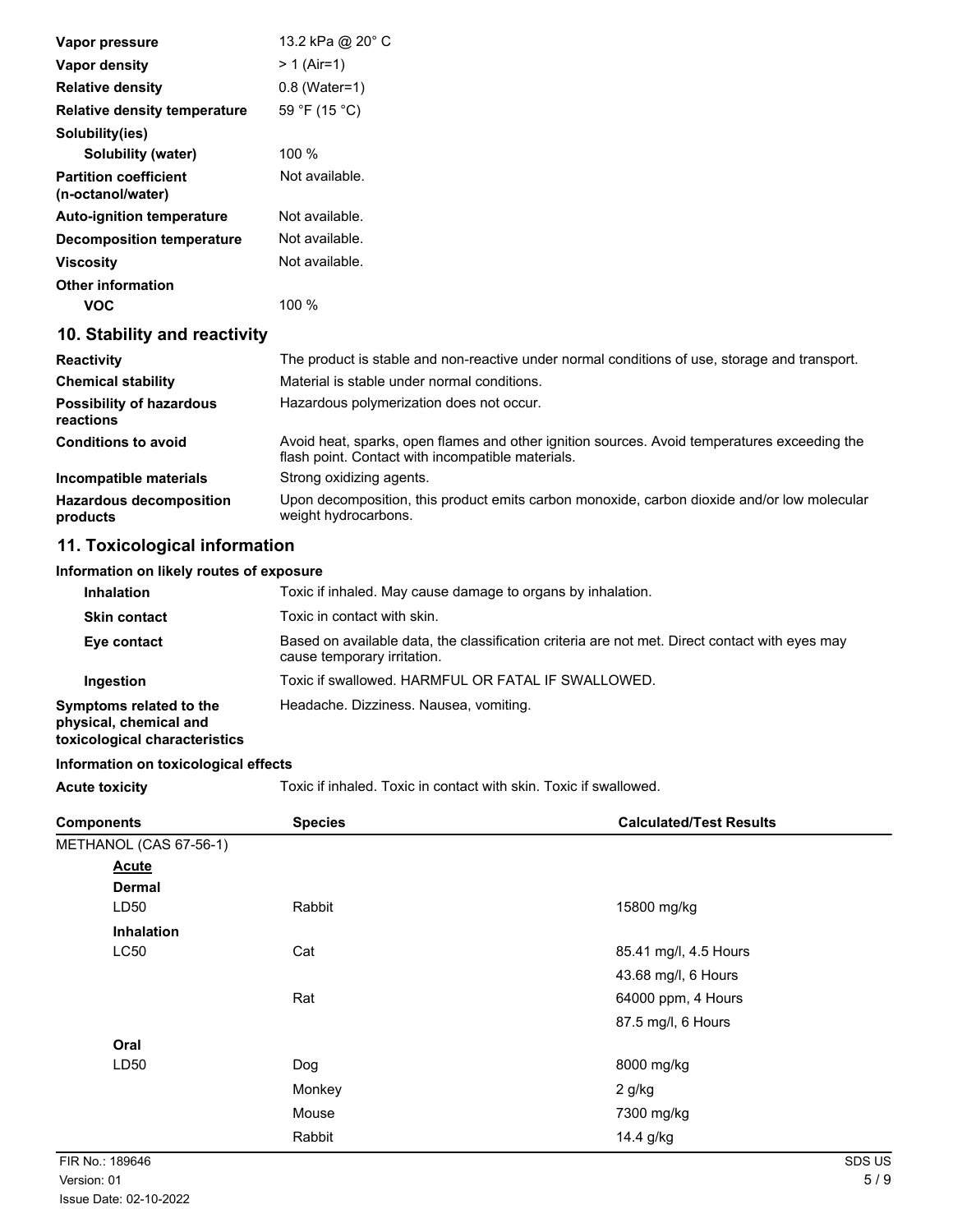| Vapor pressure                                    | 13.2 kPa @ 20° C                                                                                                                                  |
|---------------------------------------------------|---------------------------------------------------------------------------------------------------------------------------------------------------|
| Vapor density                                     | $> 1$ (Air=1)                                                                                                                                     |
| <b>Relative density</b>                           | $0.8$ (Water=1)                                                                                                                                   |
| <b>Relative density temperature</b>               | 59 °F (15 °C)                                                                                                                                     |
| Solubility(ies)                                   |                                                                                                                                                   |
| <b>Solubility (water)</b>                         | 100 %                                                                                                                                             |
| <b>Partition coefficient</b><br>(n-octanol/water) | Not available.                                                                                                                                    |
| <b>Auto-ignition temperature</b>                  | Not available.                                                                                                                                    |
| <b>Decomposition temperature</b>                  | Not available.                                                                                                                                    |
| <b>Viscosity</b>                                  | Not available.                                                                                                                                    |
| <b>Other information</b>                          |                                                                                                                                                   |
| <b>VOC</b>                                        | 100 %                                                                                                                                             |
| 10. Stability and reactivity                      |                                                                                                                                                   |
| <b>Reactivity</b>                                 | The product is stable and non-reactive under normal conditions of use, storage and transport.                                                     |
| <b>Chemical stability</b>                         | Material is stable under normal conditions.                                                                                                       |
| <b>Possibility of hazardous</b><br>reactions      | Hazardous polymerization does not occur.                                                                                                          |
| <b>Conditions to avoid</b>                        | Avoid heat, sparks, open flames and other ignition sources. Avoid temperatures exceeding the<br>flash point. Contact with incompatible materials. |
| Incompatible materials                            | Strong oxidizing agents.                                                                                                                          |
| <b>Hazardous decomposition</b><br>products        | Upon decomposition, this product emits carbon monoxide, carbon dioxide and/or low molecular<br>weight hydrocarbons.                               |

# **11. Toxicological information**

### **Information on likely routes of exposure**

| <b>Inhalation</b>                                                                  | Toxic if inhaled. May cause damage to organs by inhalation.                                                                   |  |
|------------------------------------------------------------------------------------|-------------------------------------------------------------------------------------------------------------------------------|--|
| <b>Skin contact</b>                                                                | Toxic in contact with skin.                                                                                                   |  |
| Eye contact                                                                        | Based on available data, the classification criteria are not met. Direct contact with eyes may<br>cause temporary irritation. |  |
| Ingestion                                                                          | Toxic if swallowed. HARMFUL OR FATAL IF SWALLOWED.                                                                            |  |
| Symptoms related to the<br>physical, chemical and<br>toxicological characteristics | Headache. Dizziness. Nausea, vomiting.                                                                                        |  |

## **Information on toxicological effects**

Acute toxicity **Acute toxicity** Toxic if inhaled. Toxic in contact with skin. Toxic if swallowed.

| <b>Components</b>      | <b>Species</b> | <b>Calculated/Test Results</b> |
|------------------------|----------------|--------------------------------|
| METHANOL (CAS 67-56-1) |                |                                |
| <b>Acute</b>           |                |                                |
| <b>Dermal</b>          |                |                                |
| LD50                   | Rabbit         | 15800 mg/kg                    |
| <b>Inhalation</b>      |                |                                |
| <b>LC50</b>            | Cat            | 85.41 mg/l, 4.5 Hours          |
|                        |                | 43.68 mg/l, 6 Hours            |
|                        | Rat            | 64000 ppm, 4 Hours             |
|                        |                | 87.5 mg/l, 6 Hours             |
| Oral                   |                |                                |
| LD50                   | Dog            | 8000 mg/kg                     |
|                        | Monkey         | $2$ g/kg                       |
|                        | Mouse          | 7300 mg/kg                     |
|                        | Rabbit         | 14.4 g/kg                      |
| FIR No.: 189646        |                | SDS US                         |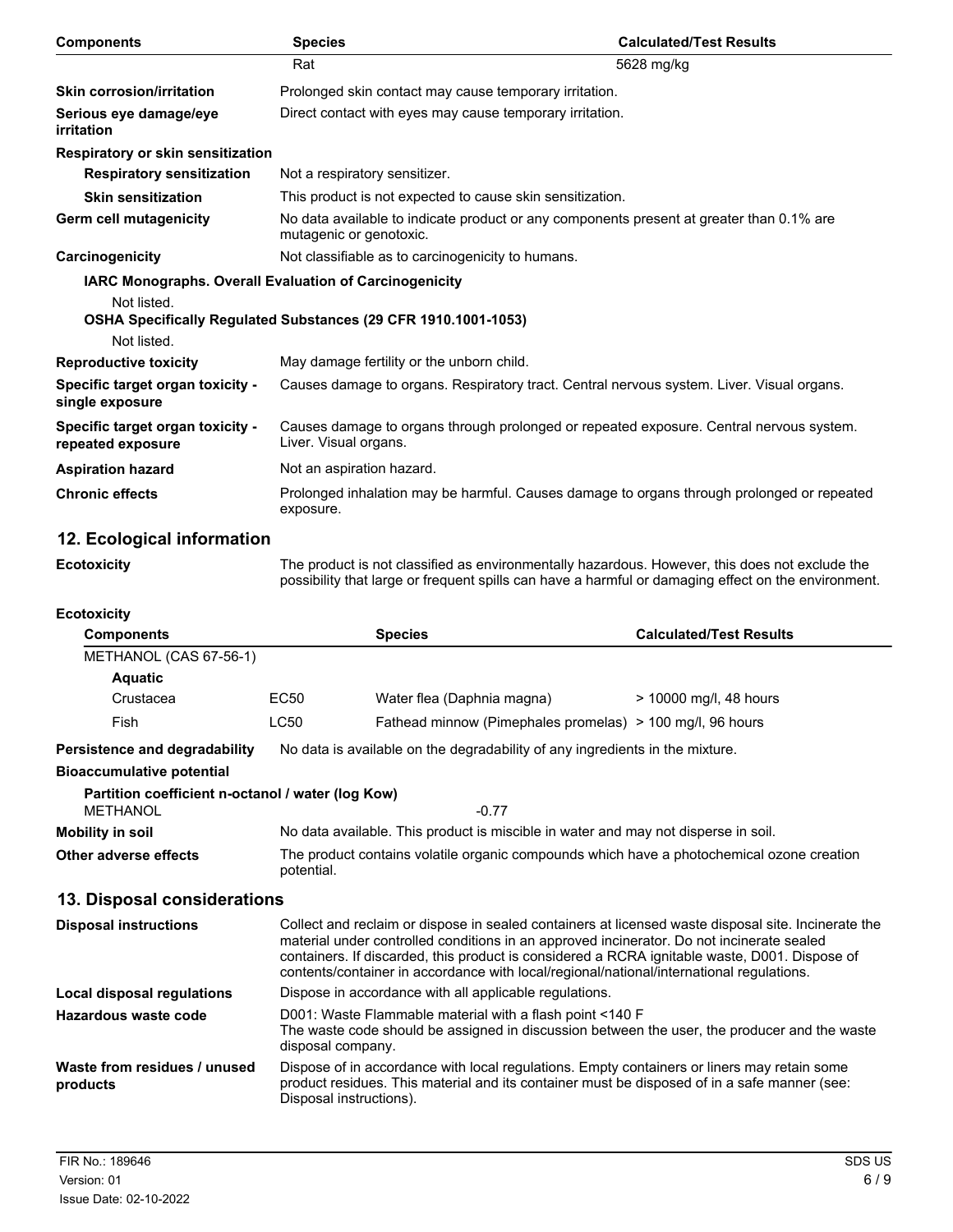| <b>Components</b>                                     | <b>Species</b>                                                                                                                  | <b>Calculated/Test Results</b>                                                                 |  |
|-------------------------------------------------------|---------------------------------------------------------------------------------------------------------------------------------|------------------------------------------------------------------------------------------------|--|
|                                                       | Rat                                                                                                                             | 5628 mg/kg                                                                                     |  |
| <b>Skin corrosion/irritation</b>                      | Prolonged skin contact may cause temporary irritation.                                                                          |                                                                                                |  |
| Serious eye damage/eye<br>irritation                  | Direct contact with eyes may cause temporary irritation.                                                                        |                                                                                                |  |
| Respiratory or skin sensitization                     |                                                                                                                                 |                                                                                                |  |
| <b>Respiratory sensitization</b>                      | Not a respiratory sensitizer.                                                                                                   |                                                                                                |  |
| <b>Skin sensitization</b>                             | This product is not expected to cause skin sensitization.                                                                       |                                                                                                |  |
| Germ cell mutagenicity                                | mutagenic or genotoxic.                                                                                                         | No data available to indicate product or any components present at greater than 0.1% are       |  |
| Carcinogenicity                                       | Not classifiable as to carcinogenicity to humans.                                                                               |                                                                                                |  |
| Not listed.<br>Not listed.                            | <b>IARC Monographs. Overall Evaluation of Carcinogenicity</b><br>OSHA Specifically Regulated Substances (29 CFR 1910.1001-1053) |                                                                                                |  |
| <b>Reproductive toxicity</b>                          | May damage fertility or the unborn child.                                                                                       |                                                                                                |  |
| Specific target organ toxicity -<br>single exposure   |                                                                                                                                 | Causes damage to organs. Respiratory tract. Central nervous system. Liver. Visual organs.      |  |
| Specific target organ toxicity -<br>repeated exposure | Liver. Visual organs.                                                                                                           | Causes damage to organs through prolonged or repeated exposure. Central nervous system.        |  |
| <b>Aspiration hazard</b>                              | Not an aspiration hazard.                                                                                                       |                                                                                                |  |
| <b>Chronic effects</b>                                | exposure.                                                                                                                       | Prolonged inhalation may be harmful. Causes damage to organs through prolonged or repeated     |  |
| 12. Ecological information                            |                                                                                                                                 |                                                                                                |  |
| <b>Ecotoxicity</b>                                    |                                                                                                                                 | The product is not classified as environmentally hazardous. However, this does not exclude the |  |

| <b>Ecotoxicity</b>                                                   |                                                                                                                                                                                                                                                                                                                                                                                               |                                                           |                                                                                                                                                                                             |
|----------------------------------------------------------------------|-----------------------------------------------------------------------------------------------------------------------------------------------------------------------------------------------------------------------------------------------------------------------------------------------------------------------------------------------------------------------------------------------|-----------------------------------------------------------|---------------------------------------------------------------------------------------------------------------------------------------------------------------------------------------------|
| <b>Components</b>                                                    |                                                                                                                                                                                                                                                                                                                                                                                               | <b>Species</b>                                            | <b>Calculated/Test Results</b>                                                                                                                                                              |
| METHANOL (CAS 67-56-1)                                               |                                                                                                                                                                                                                                                                                                                                                                                               |                                                           |                                                                                                                                                                                             |
| <b>Aquatic</b>                                                       |                                                                                                                                                                                                                                                                                                                                                                                               |                                                           |                                                                                                                                                                                             |
| Crustacea                                                            | <b>EC50</b>                                                                                                                                                                                                                                                                                                                                                                                   | Water flea (Daphnia magna)                                | > 10000 mg/l, 48 hours                                                                                                                                                                      |
| Fish                                                                 | <b>LC50</b>                                                                                                                                                                                                                                                                                                                                                                                   | Fathead minnow (Pimephales promelas) > 100 mg/l, 96 hours |                                                                                                                                                                                             |
| <b>Persistence and degradability</b>                                 | No data is available on the degradability of any ingredients in the mixture.                                                                                                                                                                                                                                                                                                                  |                                                           |                                                                                                                                                                                             |
| <b>Bioaccumulative potential</b>                                     |                                                                                                                                                                                                                                                                                                                                                                                               |                                                           |                                                                                                                                                                                             |
| Partition coefficient n-octanol / water (log Kow)<br><b>METHANOL</b> |                                                                                                                                                                                                                                                                                                                                                                                               | $-0.77$                                                   |                                                                                                                                                                                             |
| Mobility in soil                                                     | No data available. This product is miscible in water and may not disperse in soil.                                                                                                                                                                                                                                                                                                            |                                                           |                                                                                                                                                                                             |
| Other adverse effects                                                | The product contains volatile organic compounds which have a photochemical ozone creation<br>potential.                                                                                                                                                                                                                                                                                       |                                                           |                                                                                                                                                                                             |
| 13. Disposal considerations                                          |                                                                                                                                                                                                                                                                                                                                                                                               |                                                           |                                                                                                                                                                                             |
| <b>Disposal instructions</b>                                         | Collect and reclaim or dispose in sealed containers at licensed waste disposal site. Incinerate the<br>material under controlled conditions in an approved incinerator. Do not incinerate sealed<br>containers. If discarded, this product is considered a RCRA ignitable waste, D001. Dispose of<br>contents/container in accordance with local/regional/national/international regulations. |                                                           |                                                                                                                                                                                             |
| Local disposal regulations                                           | Dispose in accordance with all applicable regulations.                                                                                                                                                                                                                                                                                                                                        |                                                           |                                                                                                                                                                                             |
| <b>Hazardous waste code</b>                                          | D001: Waste Flammable material with a flash point <140 F<br>The waste code should be assigned in discussion between the user, the producer and the waste<br>disposal company.                                                                                                                                                                                                                 |                                                           |                                                                                                                                                                                             |
| Waste from residues / unused<br>products                             |                                                                                                                                                                                                                                                                                                                                                                                               | Disposal instructions).                                   | Dispose of in accordance with local regulations. Empty containers or liners may retain some<br>product residues. This material and its container must be disposed of in a safe manner (see: |

possibility that large or frequent spills can have a harmful or damaging effect on the environment.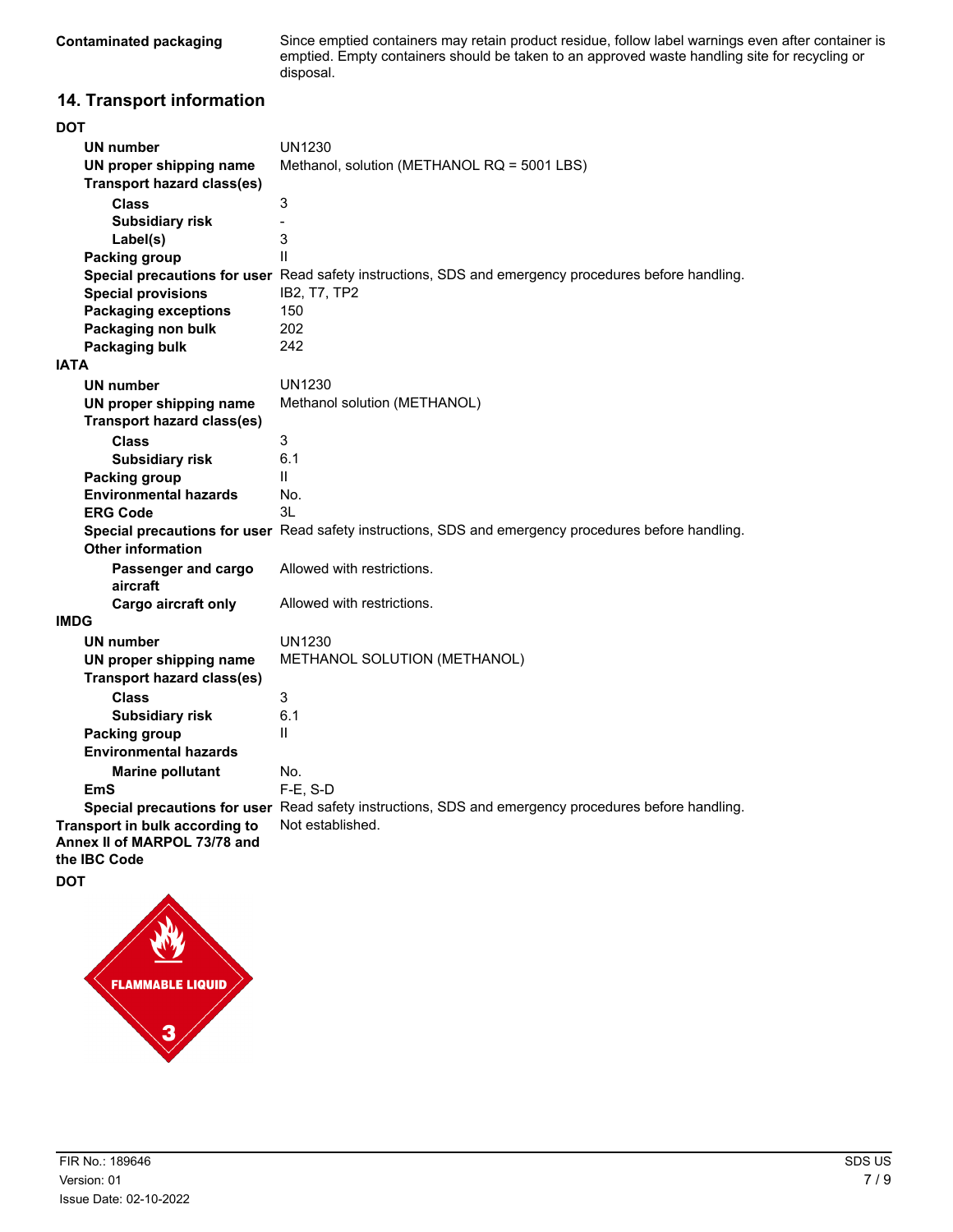Since emptied containers may retain product residue, follow label warnings even after container is emptied. Empty containers should be taken to an approved waste handling site for recycling or disposal.

# **14. Transport information**

| DOT                               |                                                                                                      |
|-----------------------------------|------------------------------------------------------------------------------------------------------|
| <b>UN number</b>                  | <b>UN1230</b>                                                                                        |
| UN proper shipping name           | Methanol, solution (METHANOL RQ = 5001 LBS)                                                          |
| <b>Transport hazard class(es)</b> |                                                                                                      |
| <b>Class</b>                      | 3                                                                                                    |
| <b>Subsidiary risk</b>            | $\qquad \qquad \blacksquare$                                                                         |
| Label(s)                          | 3                                                                                                    |
| <b>Packing group</b>              | $\mathbf{H}$                                                                                         |
|                                   | Special precautions for user Read safety instructions, SDS and emergency procedures before handling. |
| <b>Special provisions</b>         | IB2, T7, TP2                                                                                         |
| <b>Packaging exceptions</b>       | 150                                                                                                  |
| Packaging non bulk                | 202                                                                                                  |
| Packaging bulk                    | 242                                                                                                  |
| IATA                              |                                                                                                      |
| UN number                         | <b>UN1230</b>                                                                                        |
| UN proper shipping name           | Methanol solution (METHANOL)                                                                         |
| <b>Transport hazard class(es)</b> |                                                                                                      |
| <b>Class</b>                      | 3                                                                                                    |
| <b>Subsidiary risk</b>            | 6.1                                                                                                  |
| <b>Packing group</b>              | Ш                                                                                                    |
| <b>Environmental hazards</b>      | No.                                                                                                  |
| <b>ERG Code</b>                   | 3L                                                                                                   |
|                                   | Special precautions for user Read safety instructions, SDS and emergency procedures before handling. |
| <b>Other information</b>          |                                                                                                      |
| Passenger and cargo               | Allowed with restrictions.                                                                           |
| aircraft                          |                                                                                                      |
| Cargo aircraft only               | Allowed with restrictions.                                                                           |
| IMDG                              |                                                                                                      |
| <b>UN number</b>                  | <b>UN1230</b>                                                                                        |
| UN proper shipping name           | METHANOL SOLUTION (METHANOL)                                                                         |
| <b>Transport hazard class(es)</b> |                                                                                                      |
| <b>Class</b>                      | 3                                                                                                    |
| <b>Subsidiary risk</b>            | 6.1                                                                                                  |
| Packing group                     | Ш                                                                                                    |
| <b>Environmental hazards</b>      |                                                                                                      |
| <b>Marine pollutant</b>           | No.                                                                                                  |
| EmS                               | $F-E$ , S-D                                                                                          |
|                                   | Special precautions for user Read safety instructions, SDS and emergency procedures before handling. |
| Transport in bulk according to    | Not established.                                                                                     |
| Annex II of MARPOL 73/78 and      |                                                                                                      |
| the IBC Code                      |                                                                                                      |
| DOT                               |                                                                                                      |

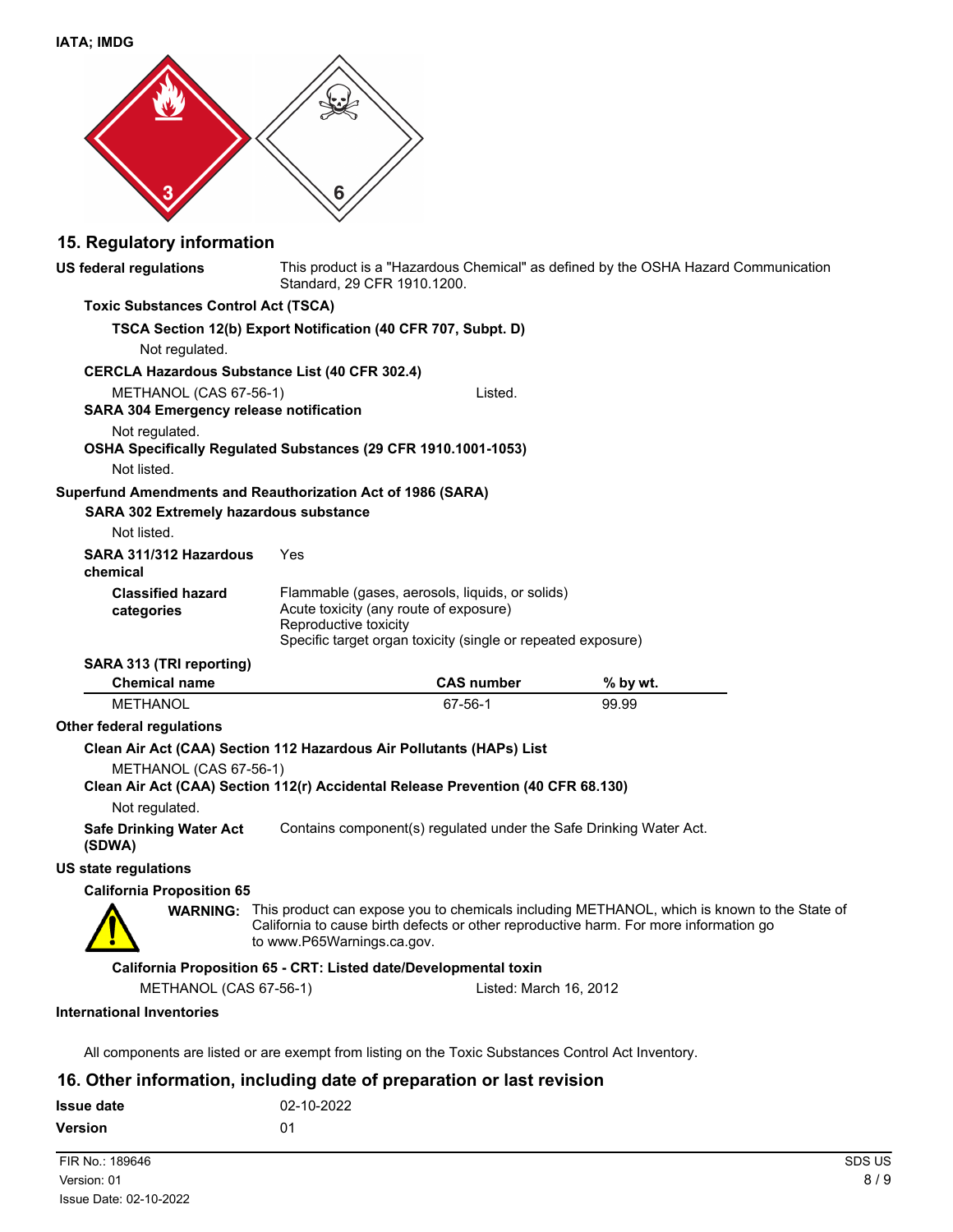| <b>IATA; IMDG</b>                                                                                                           |                                                                  |                                                                                                                 |                                                                                                                                                                                                      |  |
|-----------------------------------------------------------------------------------------------------------------------------|------------------------------------------------------------------|-----------------------------------------------------------------------------------------------------------------|------------------------------------------------------------------------------------------------------------------------------------------------------------------------------------------------------|--|
|                                                                                                                             |                                                                  |                                                                                                                 |                                                                                                                                                                                                      |  |
|                                                                                                                             |                                                                  |                                                                                                                 |                                                                                                                                                                                                      |  |
|                                                                                                                             | 6                                                                |                                                                                                                 |                                                                                                                                                                                                      |  |
|                                                                                                                             |                                                                  |                                                                                                                 |                                                                                                                                                                                                      |  |
| 15. Regulatory information                                                                                                  |                                                                  |                                                                                                                 |                                                                                                                                                                                                      |  |
| <b>US federal regulations</b>                                                                                               | Standard, 29 CFR 1910.1200.                                      |                                                                                                                 | This product is a "Hazardous Chemical" as defined by the OSHA Hazard Communication                                                                                                                   |  |
| <b>Toxic Substances Control Act (TSCA)</b>                                                                                  |                                                                  |                                                                                                                 |                                                                                                                                                                                                      |  |
| Not regulated.                                                                                                              | TSCA Section 12(b) Export Notification (40 CFR 707, Subpt. D)    |                                                                                                                 |                                                                                                                                                                                                      |  |
| <b>CERCLA Hazardous Substance List (40 CFR 302.4)</b>                                                                       |                                                                  |                                                                                                                 |                                                                                                                                                                                                      |  |
| METHANOL (CAS 67-56-1)<br><b>SARA 304 Emergency release notification</b>                                                    |                                                                  | Listed.                                                                                                         |                                                                                                                                                                                                      |  |
| Not regulated.<br>OSHA Specifically Regulated Substances (29 CFR 1910.1001-1053)                                            |                                                                  |                                                                                                                 |                                                                                                                                                                                                      |  |
| Not listed.                                                                                                                 |                                                                  |                                                                                                                 |                                                                                                                                                                                                      |  |
| Superfund Amendments and Reauthorization Act of 1986 (SARA)<br><b>SARA 302 Extremely hazardous substance</b><br>Not listed. |                                                                  |                                                                                                                 |                                                                                                                                                                                                      |  |
| SARA 311/312 Hazardous<br>chemical                                                                                          | Yes                                                              |                                                                                                                 |                                                                                                                                                                                                      |  |
| <b>Classified hazard</b><br>categories                                                                                      | Acute toxicity (any route of exposure)<br>Reproductive toxicity  | Flammable (gases, aerosols, liquids, or solids)<br>Specific target organ toxicity (single or repeated exposure) |                                                                                                                                                                                                      |  |
| SARA 313 (TRI reporting)                                                                                                    |                                                                  |                                                                                                                 |                                                                                                                                                                                                      |  |
| <b>Chemical name</b>                                                                                                        |                                                                  | <b>CAS number</b>                                                                                               | % by wt.                                                                                                                                                                                             |  |
| <b>METHANOL</b>                                                                                                             |                                                                  | 67-56-1                                                                                                         | 99.99                                                                                                                                                                                                |  |
| <b>Other federal requlations</b>                                                                                            |                                                                  |                                                                                                                 |                                                                                                                                                                                                      |  |
| Clean Air Act (CAA) Section 112 Hazardous Air Pollutants (HAPs) List                                                        |                                                                  |                                                                                                                 |                                                                                                                                                                                                      |  |
| METHANOL (CAS 67-56-1)<br>Clean Air Act (CAA) Section 112(r) Accidental Release Prevention (40 CFR 68.130)                  |                                                                  |                                                                                                                 |                                                                                                                                                                                                      |  |
| Not regulated.                                                                                                              |                                                                  |                                                                                                                 |                                                                                                                                                                                                      |  |
| <b>Safe Drinking Water Act</b><br>(SDWA)                                                                                    |                                                                  | Contains component(s) regulated under the Safe Drinking Water Act.                                              |                                                                                                                                                                                                      |  |
| <b>US state regulations</b>                                                                                                 |                                                                  |                                                                                                                 |                                                                                                                                                                                                      |  |
| <b>California Proposition 65</b>                                                                                            |                                                                  |                                                                                                                 |                                                                                                                                                                                                      |  |
|                                                                                                                             | to www.P65Warnings.ca.gov.                                       |                                                                                                                 | <b>WARNING:</b> This product can expose you to chemicals including METHANOL, which is known to the State of<br>California to cause birth defects or other reproductive harm. For more information go |  |
|                                                                                                                             | California Proposition 65 - CRT: Listed date/Developmental toxin |                                                                                                                 |                                                                                                                                                                                                      |  |
| METHANOL (CAS 67-56-1)                                                                                                      |                                                                  | Listed: March 16, 2012                                                                                          |                                                                                                                                                                                                      |  |
| <b>International Inventories</b>                                                                                            |                                                                  |                                                                                                                 |                                                                                                                                                                                                      |  |
| All components are listed or are exempt from listing on the Toxic Substances Control Act Inventory.                         |                                                                  |                                                                                                                 |                                                                                                                                                                                                      |  |
| 16 Other information including date of preparation or last revision                                                         |                                                                  |                                                                                                                 |                                                                                                                                                                                                      |  |

**16. Other information, including date of preparation or last revision**

| <b>Issue date</b> | 02-10-2022     |        |
|-------------------|----------------|--------|
| <b>Version</b>    | 0 <sub>1</sub> |        |
| FIR No.: 189646   |                | SDS US |